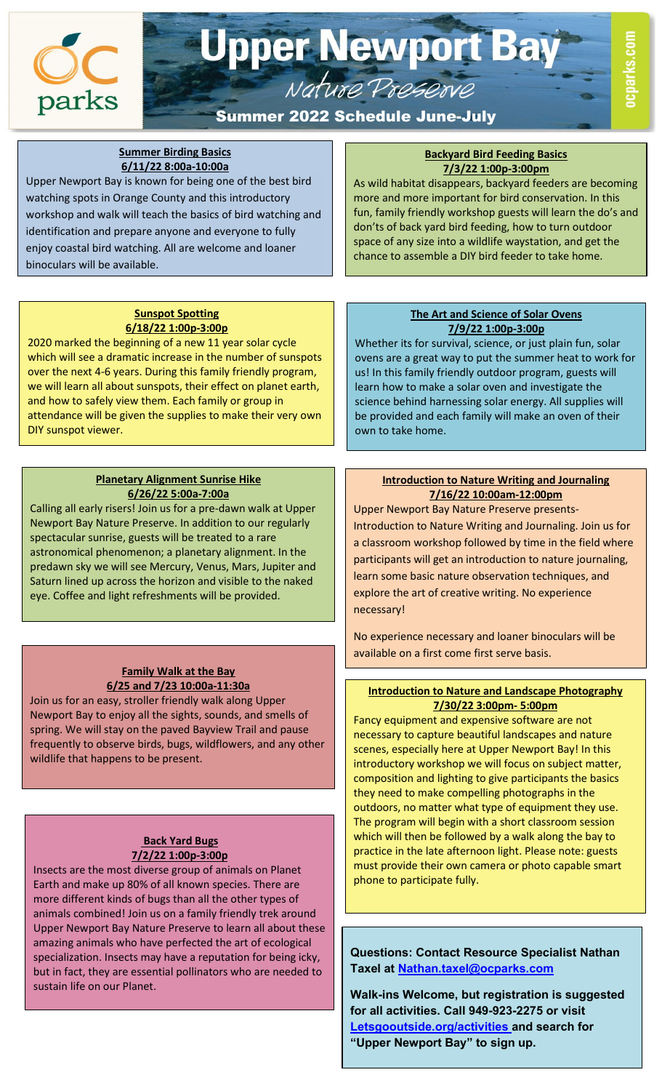

# **Upper Newport Bay** Nature Preserve

#### j Summer 2022 Schedule June-July

J

 $\overline{\phantom{a}}$ 

#### **Summer Birding Basics 6/11/22 8:00a-10:00a**

Upper Newport Bay is known for being one of the best bird watching spots in Orange County and this introductory workshop and walk will teach the basics of bird watching and identification and prepare anyone and everyone to fully enjoy coastal bird watching. All are welcome and loaner binoculars will be available.

#### **Backyard Bird Feeding Basics 7/3/22 1:00p-3:00pm**

As wild habitat disappears, backyard feeders are becoming more and more important for bird conservation. In this fun, family friendly workshop guests will learn the do's and don'ts of back yard bird feeding, how to turn outdoor space of any size into a wildlife waystation, and get the chance to assemble a DIY bird feeder to take home.

## **Sunspot Spotting 6/18/22 1:00p-3:00p**

2020 marked the beginning of a new 11 year solar cycle which will see a dramatic increase in the number of sunspots over the next 4-6 years. During this family friendly program, we will learn all about sunspots, their effect on planet earth, and how to safely view them. Each family or group in attendance will be given the supplies to make their very own DIY sunspot viewer.

## **Planetary Alignment Sunrise Hike 6/26/22 5:00a-7:00a**

Calling all early risers! Join us for a pre-dawn walk at Upper Newport Bay Nature Preserve. In addition to our regularly spectacular sunrise, guests will be treated to a rare astronomical phenomenon; a planetary alignment. In the predawn sky we will see Mercury, Venus, Mars, Jupiter and Saturn lined up across the horizon and visible to the naked eye. Coffee and light refreshments will be provided.

# **Family Walk at the Bay 6/25 and 7/23 10:00a-11:30a**

Join us for an easy, stroller friendly walk along Upper Newport Bay to enjoy all the sights, sounds, and smells of spring. We will stay on the paved Bayview Trail and pause frequently to observe birds, bugs, wildflowers, and any other wildlife that happens to be present.

# **Back Yard Bugs 7/2/22 1:00p-3:00p**

Insects are the most diverse group of animals on Planet Earth and make up 80% of all known species. There are more different kinds of bugs than all the other types of animals combined! Join us on a family friendly trek around Upper Newport Bay Nature Preserve to learn all about these amazing animals who have perfected the art of ecological specialization. Insects may have a reputation for being icky, but in fact, they are essential pollinators who are needed to sustain life on our Planet.

## **The Art and Science of Solar Ovens 7/9/22 1:00p-3:00p**

Whether its for survival, science, or just plain fun, solar ovens are a great way to put the summer heat to work for us! In this family friendly outdoor program, guests will learn how to make a solar oven and investigate the science behind harnessing solar energy. All supplies will be provided and each family will make an oven of their own to take home.

# **Introduction to Nature Writing and Journaling 7/16/22 10:00am-12:00pm**

Upper Newport Bay Nature Preserve presents-Introduction to Nature Writing and Journaling. Join us for a classroom workshop followed by time in the field where participants will get an introduction to nature journaling, learn some basic nature observation techniques, and explore the art of creative writing. No experience necessary!

No experience necessary and loaner binoculars will be available on a first come first serve basis.

# **Introduction to Nature and Landscape Photography 7/30/22 3:00pm- 5:00pm**

 scenes, especially here at Upper Newport Bay! In this Fancy equipment and expensive software are not necessary to capture beautiful landscapes and nature introductory workshop we will focus on subject matter, composition and lighting to give participants the basics they need to make compelling photographs in the outdoors, no matter what type of equipment they use. The program will begin with a short classroom session which will then be followed by a walk along the bay to practice in the late afternoon light. Please note: guests must provide their own camera or photo capable smart phone to participate fully.

**Questions: Contact Resource Specialist Nathan Taxel at [Nathan.taxel@ocparks.com](mailto:Nathan.taxel@ocparks.com)**

**Walk-ins Welcome, but registration is suggested for all activities. Call 949-923-2275 or visit [Letsgooutside.org/activities a](http://www.letsgooutside.org/activities/)nd search for "Upper Newport Bay" to sign up.**